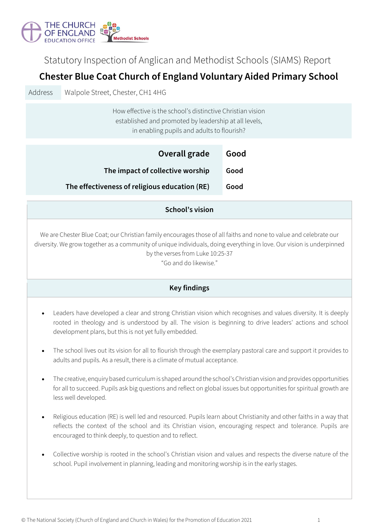

Statutory Inspection of Anglican and Methodist Schools (SIAMS) Report

# **Chester Blue Coat Church of England Voluntary Aided Primary School**

Address Walpole Street, Chester, CH1 4HG

How effective is the school's distinctive Christian vision established and promoted by leadership at all levels, in enabling pupils and adults to flourish?

| Overall grade                                 | Good |
|-----------------------------------------------|------|
| The impact of collective worship              | Good |
| The effectiveness of religious education (RE) | Good |

#### **School's vision**

We are Chester Blue Coat; our Christian family encourages those of all faiths and none to value and celebrate our diversity. We grow together as a community of unique individuals, doing everything in love. Our vision is underpinned by the verses from Luke 10:25-37

"Go and do likewise."

## **Key findings**

- Leaders have developed a clear and strong Christian vision which recognises and values diversity. It is deeply rooted in theology and is understood by all. The vision is beginning to drive leaders' actions and school development plans, but this is not yet fully embedded.
- The school lives out its vision for all to flourish through the exemplary pastoral care and support it provides to adults and pupils. As a result, there is a climate of mutual acceptance.
- The creative, enquiry based curriculum is shaped around the school's Christian vision and provides opportunities for all to succeed. Pupils ask big questions and reflect on global issues but opportunities for spiritual growth are less well developed.
- Religious education (RE) is well led and resourced. Pupils learn about Christianity and other faiths in a way that reflects the context of the school and its Christian vision, encouraging respect and tolerance. Pupils are encouraged to think deeply, to question and to reflect.
- Collective worship is rooted in the school's Christian vision and values and respects the diverse nature of the school. Pupil involvement in planning, leading and monitoring worship is in the early stages.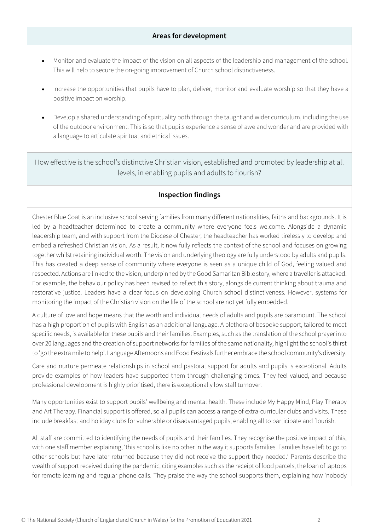#### **Areas for development**

- Monitor and evaluate the impact of the vision on all aspects of the leadership and management of the school. This will help to secure the on-going improvement of Church school distinctiveness.
- Increase the opportunities that pupils have to plan, deliver, monitor and evaluate worship so that they have a positive impact on worship.
- Develop a shared understanding of spirituality both through the taught and wider curriculum, including the use of the outdoor environment. This is so that pupils experience a sense of awe and wonder and are provided with a language to articulate spiritual and ethical issues.

How effective is the school's distinctive Christian vision, established and promoted by leadership at all levels, in enabling pupils and adults to flourish?

## **Inspection findings**

Chester Blue Coat is an inclusive school serving families from many different nationalities, faiths and backgrounds. It is led by a headteacher determined to create a community where everyone feels welcome. Alongside a dynamic leadership team, and with support from the Diocese of Chester, the headteacher has worked tirelessly to develop and embed a refreshed Christian vision. As a result, it now fully reflects the context of the school and focuses on growing together whilst retaining individual worth. The vision and underlying theology are fully understood by adults and pupils. This has created a deep sense of community where everyone is seen as a unique child of God, feeling valued and respected. Actions are linked to the vision, underpinned by the Good Samaritan Bible story, where a traveller is attacked. For example, the behaviour policy has been revised to reflect this story, alongside current thinking about trauma and restorative justice. Leaders have a clear focus on developing Church school distinctiveness. However, systems for monitoring the impact of the Christian vision on the life of the school are not yet fully embedded.

A culture of love and hope means that the worth and individual needs of adults and pupils are paramount. The school has a high proportion of pupils with English as an additional language. A plethora of bespoke support, tailored to meet specific needs, is available for these pupils and their families. Examples, such as the translation of the school prayer into over 20 languages and the creation of support networks for families of the same nationality, highlight the school's thirst to 'go the extra mile to help'. Language Afternoons and Food Festivals further embrace the school community's diversity.

Care and nurture permeate relationships in school and pastoral support for adults and pupils is exceptional. Adults provide examples of how leaders have supported them through challenging times. They feel valued, and because professional development is highly prioritised, there is exceptionally low staff turnover.

Many opportunities exist to support pupils' wellbeing and mental health. These include My Happy Mind, Play Therapy and Art Therapy. Financial support is offered, so all pupils can access a range of extra-curricular clubs and visits. These include breakfast and holiday clubs for vulnerable or disadvantaged pupils, enabling all to participate and flourish.

All staff are committed to identifying the needs of pupils and their families. They recognise the positive impact of this, with one staff member explaining, 'this school is like no other in the way it supports families. Families have left to go to other schools but have later returned because they did not receive the support they needed.' Parents describe the wealth of support received during the pandemic, citing examples such as the receipt of food parcels, the loan of laptops for remote learning and regular phone calls. They praise the way the school supports them, explaining how 'nobody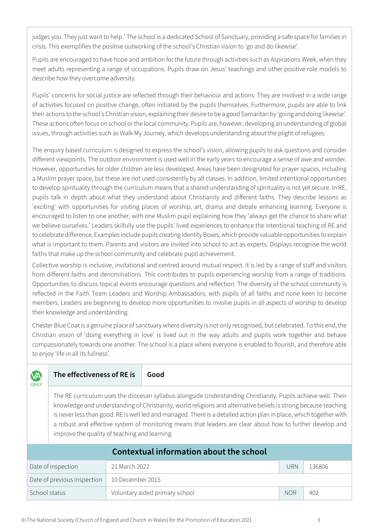judges you. They just want to help.' The school is a dedicated School of Sanctuary, providing a safe space for families in crisis. This exemplifies the positive outworking of the school's Christian vision to 'go and do likewise'.

Pupils are encouraged to have hope and ambition for the future through activities such as Aspirations Week, when they meet adults representing a range of occupations. Pupils draw on Jesus' teachings and other positive role models to describe how they overcome adversity.

Pupils' concerns for social justice are reflected through their behaviour and actions. They are involved in a wide range of activities focused on positive change, often initiated by the pupils themselves. Furthermore, pupils are able to link their actions to the school's Christian vision, explaining their desire to be a good Samaritan by 'going and doing likewise'. These actions often focus on school or the local community. Pupils are, however, developing an understanding of global issues, through activities such as Walk My Journey, which develops understanding about the plight of refugees.

The enquiry based curriculum is designed to express the school's vision, allowing pupils to ask questions and consider different viewpoints. The outdoor environment is used well in the early years to encourage a sense of awe and wonder. However, opportunities for older children are less developed. Areas have been designated for prayer spaces, including a Muslim prayer space, but these are not used consistently by all classes. In addition, limited intentional opportunities to develop spirituality through the curriculum means that a shared understanding of spirituality is not yet secure. In RE, pupils talk in depth about what they understand about Christianity and different faiths. They describe lessons as 'exciting' with opportunities for visiting places of worship, art, drama and debate enhancing learning. Everyone is encouraged to listen to one another, with one Muslim pupil explaining how they 'always get the chance to share what we believe ourselves.' Leaders skilfully use the pupils' lived experiences to enhance the intentional teaching of RE and to celebrate difference. Examples include pupils creating Identity Boxes, which provide valuable opportunities to explain what is important to them. Parents and visitors are invited into school to act as experts. Displays recognise the world faiths that make up the school community and celebrate pupil achievement.

Collective worship is inclusive, invitational and centred around mutual respect. It is led by a range of staff and visitors from different faiths and denominations. This contributes to pupils experiencing worship from a range of traditions. Opportunities to discuss topical events encourage questions and reflection. The diversity of the school community is reflected in the Faith Team Leaders and Worship Ambassadors, with pupils of all faiths and none keen to become members. Leaders are beginning to develop more opportunities to involve pupils in all aspects of worship to develop their knowledge and understanding.

Chester Blue Coat is a genuine place of sanctuary where diversity is not only recognised, but celebrated. To this end, the Christian vision of 'doing everything in love' is lived out in the way adults and pupils work together and behave compassionately towards one another. The school is a place where everyone is enabled to flourish, and therefore able to enjoy 'life in all its fullness'.

| MА<br><b>ONLY</b>                       | The effectiveness of RE is                                                                                                                                                                                                                                                                                                                                                                                                                                                                                           |                  | Good                           |            |        |  |  |  |
|-----------------------------------------|----------------------------------------------------------------------------------------------------------------------------------------------------------------------------------------------------------------------------------------------------------------------------------------------------------------------------------------------------------------------------------------------------------------------------------------------------------------------------------------------------------------------|------------------|--------------------------------|------------|--------|--|--|--|
|                                         | The RE curriculum uses the diocesan syllabus alongside Understanding Christianity. Pupils achieve well. Their<br>knowledge and understanding of Christianity, world religions and alternative beliefs is strong because teaching<br>is never less than good. RE is well led and managed. There is a detailed action plan in place, which together with<br>a robust and effective system of monitoring means that leaders are clear about how to further develop and<br>improve the quality of teaching and learning. |                  |                                |            |        |  |  |  |
| Contextual information about the school |                                                                                                                                                                                                                                                                                                                                                                                                                                                                                                                      |                  |                                |            |        |  |  |  |
| Date of inspection                      |                                                                                                                                                                                                                                                                                                                                                                                                                                                                                                                      | 21 March 2022    |                                | <b>URN</b> | 136806 |  |  |  |
| Date of previous inspection             |                                                                                                                                                                                                                                                                                                                                                                                                                                                                                                                      | 10 December 2015 |                                |            |        |  |  |  |
| School status                           |                                                                                                                                                                                                                                                                                                                                                                                                                                                                                                                      |                  | Voluntary aided primary school | <b>NOR</b> | 402    |  |  |  |